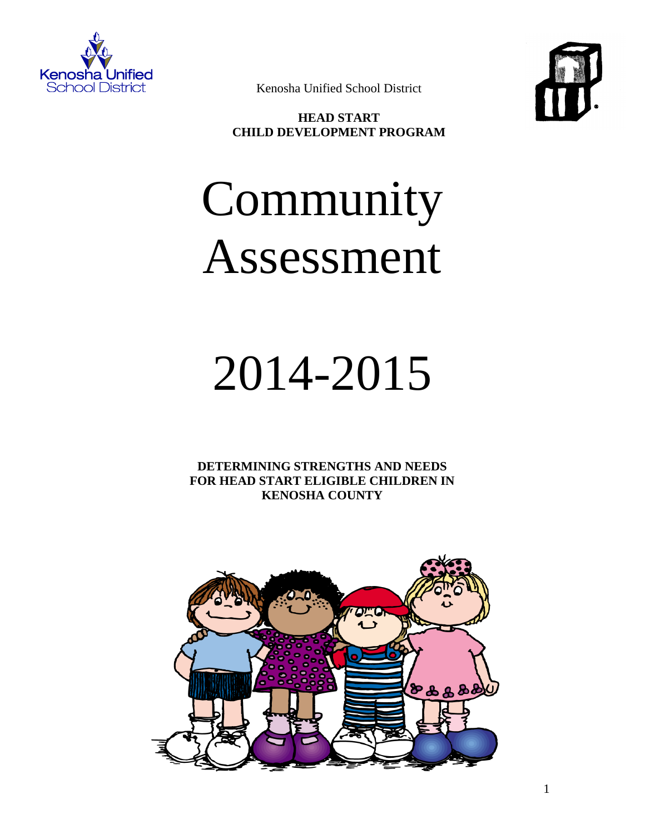



Kenosha Unified School District

**HEAD START CHILD DEVELOPMENT PROGRAM**

# Community Assessment

## 2014-2015

**DETERMINING STRENGTHS AND NEEDS FOR HEAD START ELIGIBLE CHILDREN IN KENOSHA COUNTY**

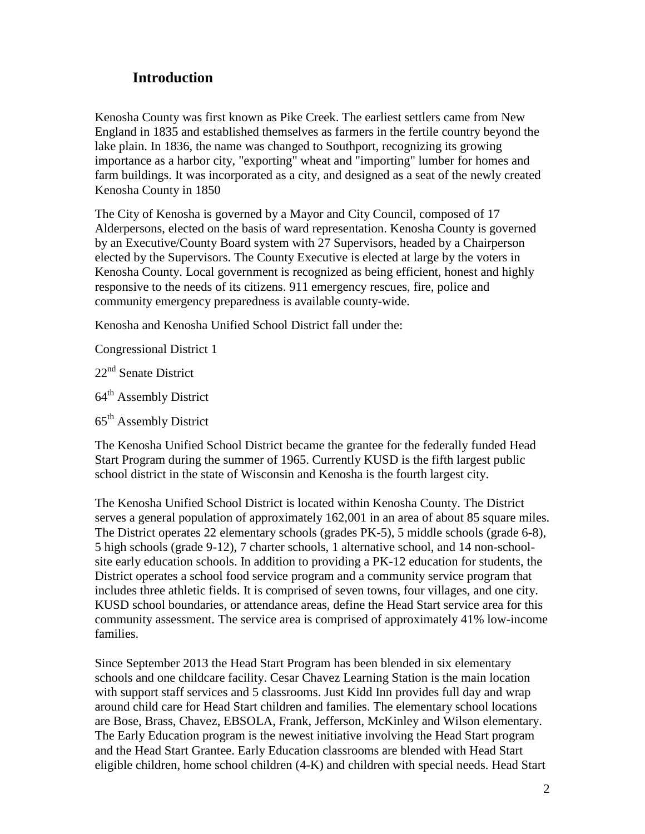## **Introduction**

Kenosha County was first known as Pike Creek. The earliest settlers came from New England in 1835 and established themselves as farmers in the fertile country beyond the lake plain. In 1836, the name was changed to Southport, recognizing its growing importance as a harbor city, "exporting" wheat and "importing" lumber for homes and farm buildings. It was incorporated as a city, and designed as a seat of the newly created Kenosha County in 1850

The City of Kenosha is governed by a Mayor and City Council, composed of 17 Alderpersons, elected on the basis of ward representation. Kenosha County is governed by an Executive/County Board system with 27 Supervisors, headed by a Chairperson elected by the Supervisors. The County Executive is elected at large by the voters in Kenosha County. Local government is recognized as being efficient, honest and highly responsive to the needs of its citizens. 911 emergency rescues, fire, police and community emergency preparedness is available county-wide.

Kenosha and Kenosha Unified School District fall under the:

Congressional District 1

22<sup>nd</sup> Senate District

64<sup>th</sup> Assembly District

65th Assembly District

The Kenosha Unified School District became the grantee for the federally funded Head Start Program during the summer of 1965. Currently KUSD is the fifth largest public school district in the state of Wisconsin and Kenosha is the fourth largest city.

The Kenosha Unified School District is located within Kenosha County. The District serves a general population of approximately 162,001 in an area of about 85 square miles. The District operates 22 elementary schools (grades PK-5), 5 middle schools (grade 6-8), 5 high schools (grade 9-12), 7 charter schools, 1 alternative school, and 14 non-schoolsite early education schools. In addition to providing a PK-12 education for students, the District operates a school food service program and a community service program that includes three athletic fields. It is comprised of seven towns, four villages, and one city. KUSD school boundaries, or attendance areas, define the Head Start service area for this community assessment. The service area is comprised of approximately 41% low-income families.

Since September 2013 the Head Start Program has been blended in six elementary schools and one childcare facility. Cesar Chavez Learning Station is the main location with support staff services and 5 classrooms. Just Kidd Inn provides full day and wrap around child care for Head Start children and families. The elementary school locations are Bose, Brass, Chavez, EBSOLA, Frank, Jefferson, McKinley and Wilson elementary. The Early Education program is the newest initiative involving the Head Start program and the Head Start Grantee. Early Education classrooms are blended with Head Start eligible children, home school children (4-K) and children with special needs. Head Start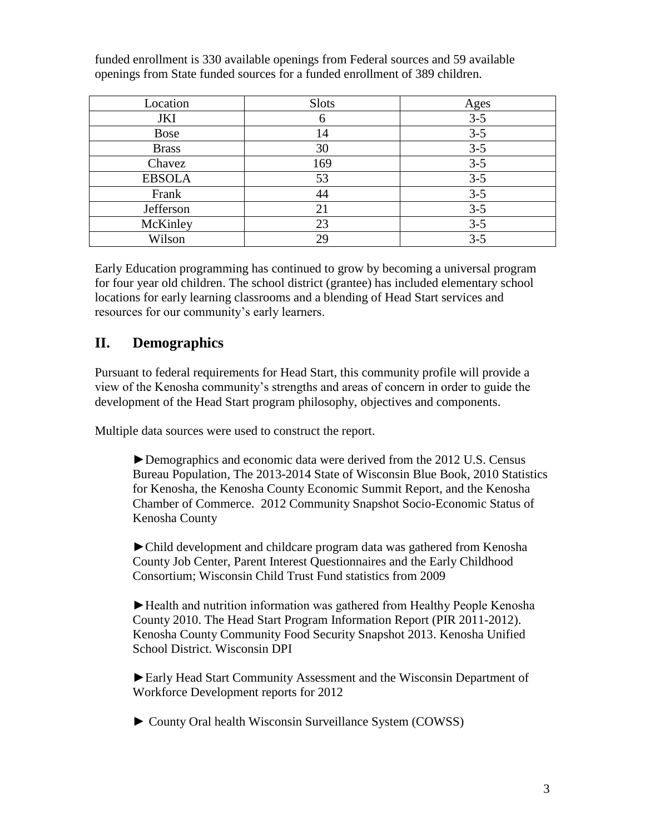| Location      | <b>Slots</b> | Ages    |
|---------------|--------------|---------|
| JKI           |              | $3 - 5$ |
| <b>Bose</b>   | 14           | $3 - 5$ |
| <b>Brass</b>  | 30           | $3 - 5$ |
| Chavez        | 169          | $3 - 5$ |
| <b>EBSOLA</b> | 53           | $3 - 5$ |
| Frank         | 44           | $3 - 5$ |
| Jefferson     | 21           | $3 - 5$ |
| McKinley      | 23           | $3 - 5$ |
| Wilson        | 29           | $3 - 5$ |

funded enrollment is 330 available openings from Federal sources and 59 available openings from State funded sources for a funded enrollment of 389 children.

Early Education programming has continued to grow by becoming a universal program for four year old children. The school district (grantee) has included elementary school locations for early learning classrooms and a blending of Head Start services and resources for our community's early learners.

## **II. Demographics**

Pursuant to federal requirements for Head Start, this community profile will provide a view of the Kenosha community's strengths and areas of concern in order to guide the development of the Head Start program philosophy, objectives and components.

Multiple data sources were used to construct the report.

►Demographics and economic data were derived from the 2012 U.S. Census Bureau Population, The 2013-2014 State of Wisconsin Blue Book, 2010 Statistics for Kenosha, the Kenosha County Economic Summit Report, and the Kenosha Chamber of Commerce. 2012 Community Snapshot Socio-Economic Status of Kenosha County

►Child development and childcare program data was gathered from Kenosha County Job Center, Parent Interest Questionnaires and the Early Childhood Consortium; Wisconsin Child Trust Fund statistics from 2009

►Health and nutrition information was gathered from Healthy People Kenosha County 2010. The Head Start Program Information Report (PIR 2011-2012). Kenosha County Community Food Security Snapshot 2013. Kenosha Unified School District. Wisconsin DPI

►Early Head Start Community Assessment and the Wisconsin Department of Workforce Development reports for 2012

► County Oral health Wisconsin Surveillance System (COWSS)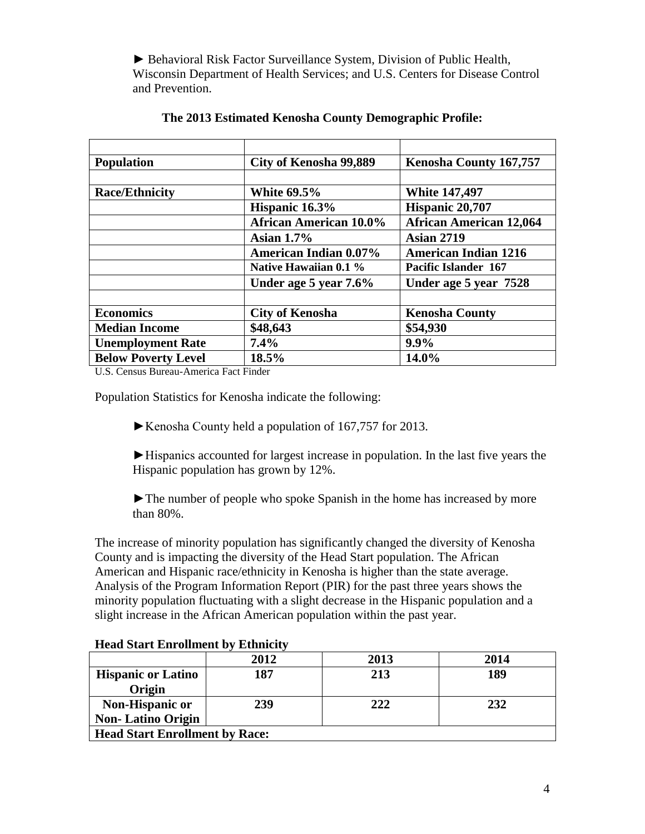► Behavioral Risk Factor Surveillance System, Division of Public Health, Wisconsin Department of Health Services; and U.S. Centers for Disease Control and Prevention.

| <b>Population</b>          | City of Kenosha 99,889        | <b>Kenosha County 167,757</b>  |
|----------------------------|-------------------------------|--------------------------------|
|                            |                               |                                |
| <b>Race/Ethnicity</b>      | <b>White 69.5%</b>            | <b>White 147,497</b>           |
|                            | Hispanic 16.3%                | Hispanic 20,707                |
|                            | <b>African American 10.0%</b> | <b>African American 12,064</b> |
|                            | Asian $1.7\%$                 | <b>Asian 2719</b>              |
|                            | <b>American Indian 0.07%</b>  | <b>American Indian 1216</b>    |
|                            | Native Hawaiian 0.1 %         | <b>Pacific Islander 167</b>    |
|                            | Under age 5 year 7.6%         | Under age 5 year 7528          |
|                            |                               |                                |
| <b>Economics</b>           | <b>City of Kenosha</b>        | <b>Kenosha County</b>          |
| <b>Median Income</b>       | \$48,643                      | \$54,930                       |
| <b>Unemployment Rate</b>   | $7.4\%$                       | $9.9\%$                        |
| <b>Below Poverty Level</b> | 18.5%                         | 14.0%                          |

#### **The 2013 Estimated Kenosha County Demographic Profile:**

U.S. Census Bureau-America Fact Finder

Population Statistics for Kenosha indicate the following:

►Kenosha County held a population of 167,757 for 2013.

►Hispanics accounted for largest increase in population. In the last five years the Hispanic population has grown by 12%.

►The number of people who spoke Spanish in the home has increased by more than 80%.

The increase of minority population has significantly changed the diversity of Kenosha County and is impacting the diversity of the Head Start population. The African American and Hispanic race/ethnicity in Kenosha is higher than the state average. Analysis of the Program Information Report (PIR) for the past three years shows the minority population fluctuating with a slight decrease in the Hispanic population and a slight increase in the African American population within the past year.

|                                       | 2012 | 2013 | 2014 |
|---------------------------------------|------|------|------|
| <b>Hispanic or Latino</b>             | 187  | 213  | 189  |
| <b>Origin</b>                         |      |      |      |
| Non-Hispanic or                       | 239  | 222  | 232  |
| <b>Non-Latino Origin</b>              |      |      |      |
| <b>Head Start Enrollment by Race:</b> |      |      |      |

#### **Head Start Enrollment by Ethnicity**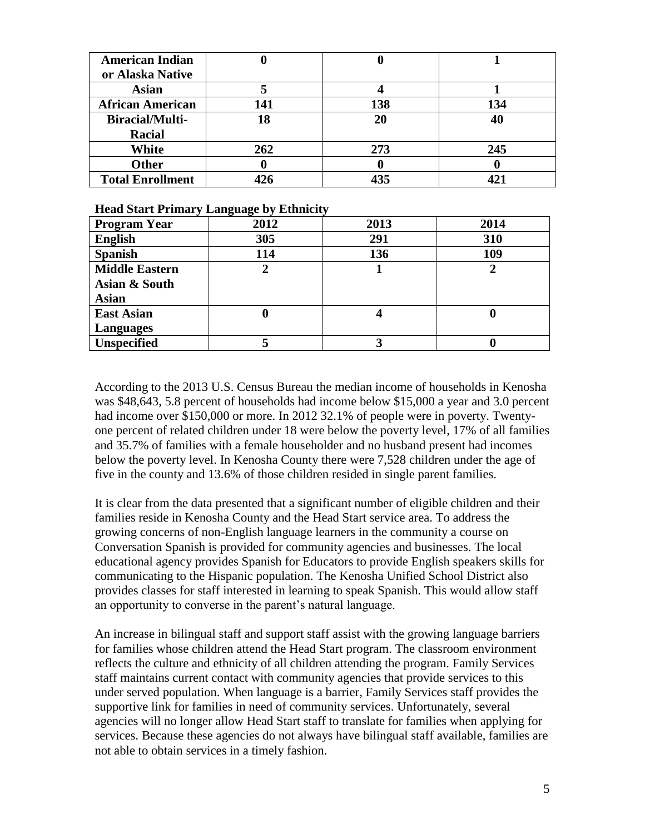| <b>American Indian</b>  |     |     |     |
|-------------------------|-----|-----|-----|
| or Alaska Native        |     |     |     |
| <b>Asian</b>            |     |     |     |
| <b>African American</b> | 141 | 138 | 134 |
| <b>Biracial/Multi-</b>  | 18  | 20  | 40  |
| <b>Racial</b>           |     |     |     |
| White                   | 262 | 273 | 245 |
| <b>Other</b>            |     |     |     |
| <b>Total Enrollment</b> | 426 | 435 |     |

#### **Head Start Primary Language by Ethnicity**

| <b>Program Year</b>   | 2012 | 2013 | 2014 |
|-----------------------|------|------|------|
| <b>English</b>        | 305  | 291  | 310  |
| <b>Spanish</b>        | 114  | 136  | 109  |
| <b>Middle Eastern</b> | 2    |      |      |
| Asian & South         |      |      |      |
| <b>Asian</b>          |      |      |      |
| <b>East Asian</b>     | U    |      |      |
| <b>Languages</b>      |      |      |      |
| <b>Unspecified</b>    |      |      |      |

According to the 2013 U.S. Census Bureau the median income of households in Kenosha was \$48,643, 5.8 percent of households had income below \$15,000 a year and 3.0 percent had income over \$150,000 or more. In 2012 32.1% of people were in poverty. Twentyone percent of related children under 18 were below the poverty level, 17% of all families and 35.7% of families with a female householder and no husband present had incomes below the poverty level. In Kenosha County there were 7,528 children under the age of five in the county and 13.6% of those children resided in single parent families.

It is clear from the data presented that a significant number of eligible children and their families reside in Kenosha County and the Head Start service area. To address the growing concerns of non-English language learners in the community a course on Conversation Spanish is provided for community agencies and businesses. The local educational agency provides Spanish for Educators to provide English speakers skills for communicating to the Hispanic population. The Kenosha Unified School District also provides classes for staff interested in learning to speak Spanish. This would allow staff an opportunity to converse in the parent's natural language.

An increase in bilingual staff and support staff assist with the growing language barriers for families whose children attend the Head Start program. The classroom environment reflects the culture and ethnicity of all children attending the program. Family Services staff maintains current contact with community agencies that provide services to this under served population. When language is a barrier, Family Services staff provides the supportive link for families in need of community services. Unfortunately, several agencies will no longer allow Head Start staff to translate for families when applying for services. Because these agencies do not always have bilingual staff available, families are not able to obtain services in a timely fashion.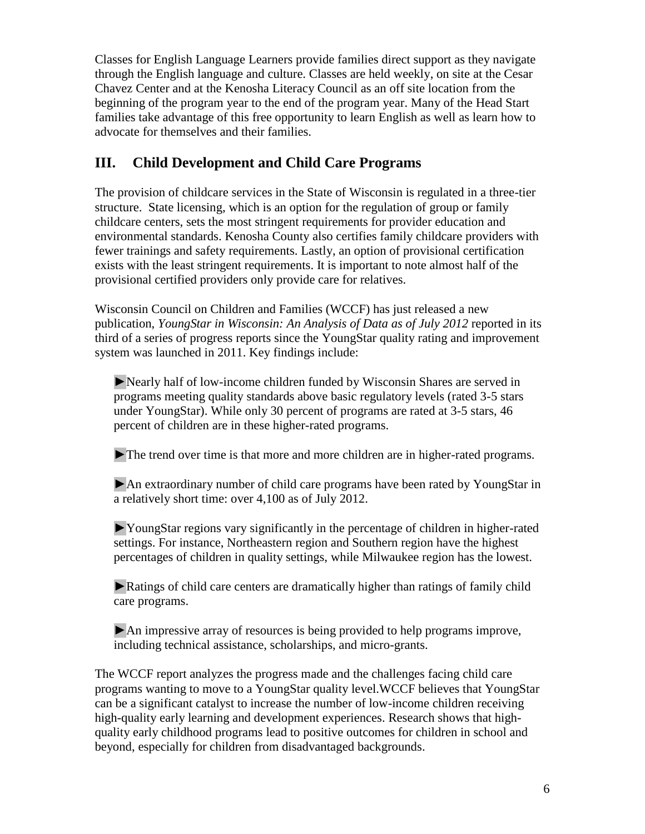Classes for English Language Learners provide families direct support as they navigate through the English language and culture. Classes are held weekly, on site at the Cesar Chavez Center and at the Kenosha Literacy Council as an off site location from the beginning of the program year to the end of the program year. Many of the Head Start families take advantage of this free opportunity to learn English as well as learn how to advocate for themselves and their families.

## **III. Child Development and Child Care Programs**

The provision of childcare services in the State of Wisconsin is regulated in a three-tier structure. State licensing, which is an option for the regulation of group or family childcare centers, sets the most stringent requirements for provider education and environmental standards. Kenosha County also certifies family childcare providers with fewer trainings and safety requirements. Lastly, an option of provisional certification exists with the least stringent requirements. It is important to note almost half of the provisional certified providers only provide care for relatives.

Wisconsin Council on Children and Families (WCCF) has just released a new publication, *YoungStar in Wisconsin: An Analysis of Data as of July 2012* reported in its third of a series of progress reports since the YoungStar quality rating and improvement system was launched in 2011. Key findings include:

►Nearly half of low-income children funded by Wisconsin Shares are served in programs meeting quality standards above basic regulatory levels (rated 3-5 stars under YoungStar). While only 30 percent of programs are rated at 3-5 stars, 46 percent of children are in these higher-rated programs.

►The trend over time is that more and more children are in higher-rated programs.

►An extraordinary number of child care programs have been rated by YoungStar in a relatively short time: over 4,100 as of July 2012.

►YoungStar regions vary significantly in the percentage of children in higher-rated settings. For instance, Northeastern region and Southern region have the highest percentages of children in quality settings, while Milwaukee region has the lowest.

► Ratings of child care centers are dramatically higher than ratings of family child care programs.

►An impressive array of resources is being provided to help programs improve, including technical assistance, scholarships, and micro-grants.

The WCCF report analyzes the progress made and the challenges facing child care programs wanting to move to a YoungStar quality level.WCCF believes that YoungStar can be a significant catalyst to increase the number of low-income children receiving high-quality early learning and development experiences. Research shows that highquality early childhood programs lead to positive outcomes for children in school and beyond, especially for children from disadvantaged backgrounds.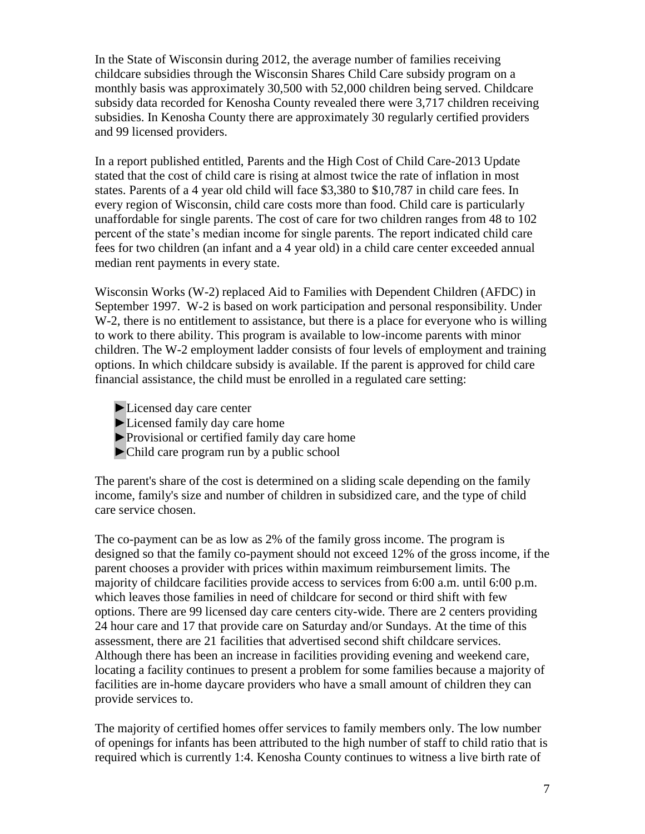In the State of Wisconsin during 2012, the average number of families receiving childcare subsidies through the Wisconsin Shares Child Care subsidy program on a monthly basis was approximately 30,500 with 52,000 children being served. Childcare subsidy data recorded for Kenosha County revealed there were 3,717 children receiving subsidies. In Kenosha County there are approximately 30 regularly certified providers and 99 licensed providers.

In a report published entitled, Parents and the High Cost of Child Care-2013 Update stated that the cost of child care is rising at almost twice the rate of inflation in most states. Parents of a 4 year old child will face \$3,380 to \$10,787 in child care fees. In every region of Wisconsin, child care costs more than food. Child care is particularly unaffordable for single parents. The cost of care for two children ranges from 48 to 102 percent of the state's median income for single parents. The report indicated child care fees for two children (an infant and a 4 year old) in a child care center exceeded annual median rent payments in every state.

Wisconsin Works (W-2) replaced Aid to Families with Dependent Children (AFDC) in September 1997. W-2 is based on work participation and personal responsibility. Under W-2, there is no entitlement to assistance, but there is a place for everyone who is willing to work to there ability. This program is available to low-income parents with minor children. The W-2 employment ladder consists of four levels of employment and training options. In which childcare subsidy is available. If the parent is approved for child care financial assistance, the child must be enrolled in a regulated care setting:

- ►Licensed day care center
- ►Licensed family day care home
- ►Provisional or certified family day care home
- ►Child care program run by a public school

The parent's share of the cost is determined on a sliding scale depending on the family income, family's size and number of children in subsidized care, and the type of child care service chosen.

The co-payment can be as low as 2% of the family gross income. The program is designed so that the family co-payment should not exceed 12% of the gross income, if the parent chooses a provider with prices within maximum reimbursement limits. The majority of childcare facilities provide access to services from 6:00 a.m. until 6:00 p.m. which leaves those families in need of childcare for second or third shift with few options. There are 99 licensed day care centers city-wide. There are 2 centers providing 24 hour care and 17 that provide care on Saturday and/or Sundays. At the time of this assessment, there are 21 facilities that advertised second shift childcare services. Although there has been an increase in facilities providing evening and weekend care, locating a facility continues to present a problem for some families because a majority of facilities are in-home daycare providers who have a small amount of children they can provide services to.

The majority of certified homes offer services to family members only. The low number of openings for infants has been attributed to the high number of staff to child ratio that is required which is currently 1:4. Kenosha County continues to witness a live birth rate of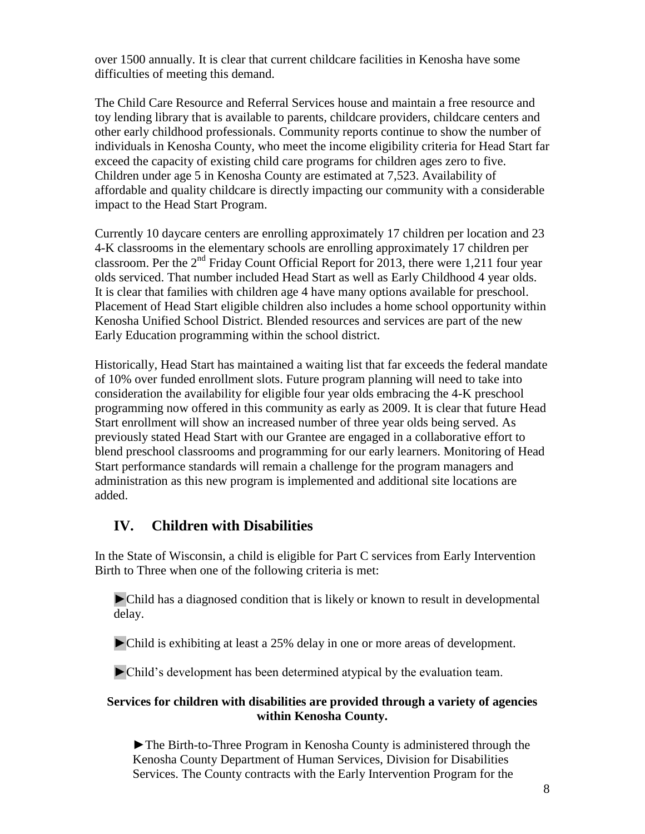over 1500 annually. It is clear that current childcare facilities in Kenosha have some difficulties of meeting this demand.

The Child Care Resource and Referral Services house and maintain a free resource and toy lending library that is available to parents, childcare providers, childcare centers and other early childhood professionals. Community reports continue to show the number of individuals in Kenosha County, who meet the income eligibility criteria for Head Start far exceed the capacity of existing child care programs for children ages zero to five. Children under age 5 in Kenosha County are estimated at 7,523. Availability of affordable and quality childcare is directly impacting our community with a considerable impact to the Head Start Program.

Currently 10 daycare centers are enrolling approximately 17 children per location and 23 4-K classrooms in the elementary schools are enrolling approximately 17 children per classroom. Per the  $2<sup>nd</sup>$  Friday Count Official Report for 2013, there were 1,211 four year olds serviced. That number included Head Start as well as Early Childhood 4 year olds. It is clear that families with children age 4 have many options available for preschool. Placement of Head Start eligible children also includes a home school opportunity within Kenosha Unified School District. Blended resources and services are part of the new Early Education programming within the school district.

Historically, Head Start has maintained a waiting list that far exceeds the federal mandate of 10% over funded enrollment slots. Future program planning will need to take into consideration the availability for eligible four year olds embracing the 4-K preschool programming now offered in this community as early as 2009. It is clear that future Head Start enrollment will show an increased number of three year olds being served. As previously stated Head Start with our Grantee are engaged in a collaborative effort to blend preschool classrooms and programming for our early learners. Monitoring of Head Start performance standards will remain a challenge for the program managers and administration as this new program is implemented and additional site locations are added.

## **IV. Children with Disabilities**

In the State of Wisconsin, a child is eligible for Part C services from Early Intervention Birth to Three when one of the following criteria is met:

►Child has a diagnosed condition that is likely or known to result in developmental delay.

►Child is exhibiting at least a 25% delay in one or more areas of development.

►Child's development has been determined atypical by the evaluation team.

#### **Services for children with disabilities are provided through a variety of agencies within Kenosha County.**

►The Birth-to-Three Program in Kenosha County is administered through the Kenosha County Department of Human Services, Division for Disabilities Services. The County contracts with the Early Intervention Program for the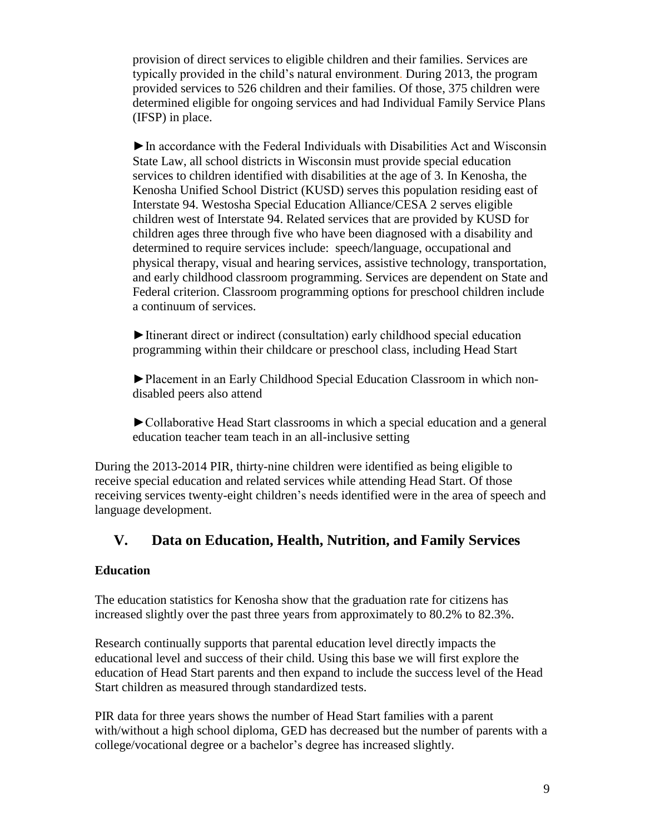provision of direct services to eligible children and their families. Services are typically provided in the child's natural environment. During 2013, the program provided services to 526 children and their families. Of those, 375 children were determined eligible for ongoing services and had Individual Family Service Plans (IFSP) in place.

►In accordance with the Federal Individuals with Disabilities Act and Wisconsin State Law, all school districts in Wisconsin must provide special education services to children identified with disabilities at the age of 3. In Kenosha, the Kenosha Unified School District (KUSD) serves this population residing east of Interstate 94. Westosha Special Education Alliance/CESA 2 serves eligible children west of Interstate 94. Related services that are provided by KUSD for children ages three through five who have been diagnosed with a disability and determined to require services include: speech/language, occupational and physical therapy, visual and hearing services, assistive technology, transportation, and early childhood classroom programming. Services are dependent on State and Federal criterion. Classroom programming options for preschool children include a continuum of services.

►Itinerant direct or indirect (consultation) early childhood special education programming within their childcare or preschool class, including Head Start

►Placement in an Early Childhood Special Education Classroom in which nondisabled peers also attend

►Collaborative Head Start classrooms in which a special education and a general education teacher team teach in an all-inclusive setting

During the 2013-2014 PIR, thirty-nine children were identified as being eligible to receive special education and related services while attending Head Start. Of those receiving services twenty-eight children's needs identified were in the area of speech and language development.

### **V. Data on Education, Health, Nutrition, and Family Services**

#### **Education**

The education statistics for Kenosha show that the graduation rate for citizens has increased slightly over the past three years from approximately to 80.2% to 82.3%.

Research continually supports that parental education level directly impacts the educational level and success of their child. Using this base we will first explore the education of Head Start parents and then expand to include the success level of the Head Start children as measured through standardized tests.

PIR data for three years shows the number of Head Start families with a parent with/without a high school diploma, GED has decreased but the number of parents with a college/vocational degree or a bachelor's degree has increased slightly.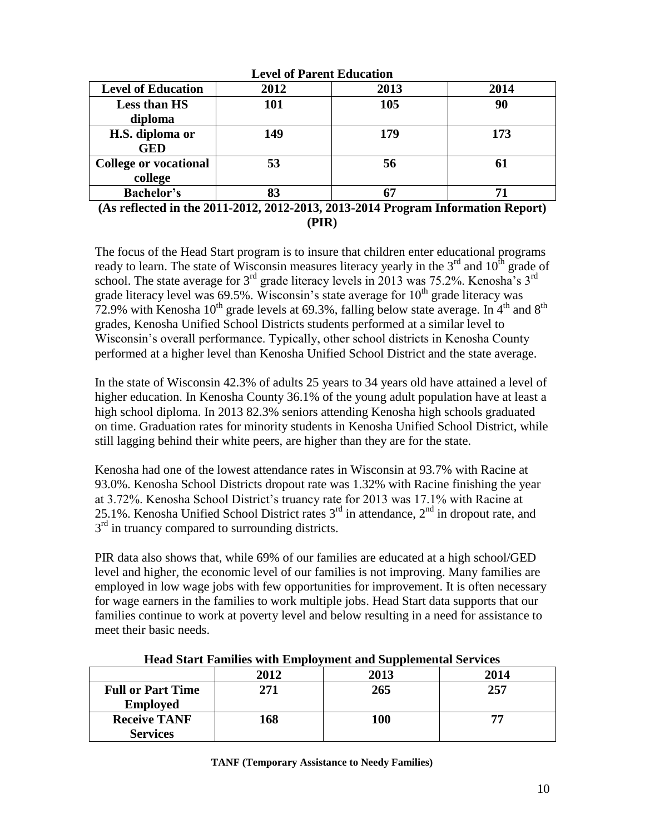| <b>Level of Parent Education</b> |      |      |      |
|----------------------------------|------|------|------|
| <b>Level of Education</b>        | 2012 | 2013 | 2014 |
| <b>Less than HS</b>              | 101  | 105  | 90   |
| diploma                          |      |      |      |
| H.S. diploma or                  | 149  | 179  | 173  |
| <b>GED</b>                       |      |      |      |
| <b>College or vocational</b>     | 53   | 56   | 61   |
| college                          |      |      |      |
| <b>Bachelor's</b>                | 83   | 67   | 71   |

**(As reflected in the 2011-2012, 2012-2013, 2013-2014 Program Information Report) (PIR)**

The focus of the Head Start program is to insure that children enter educational programs ready to learn. The state of Wisconsin measures literacy yearly in the  $3<sup>rd</sup>$  and  $10<sup>th</sup>$  grade of school. The state average for  $3^{rd}$  grade literacy levels in 2013 was 75.2%. Kenosha's  $3^{rd}$ grade literacy level was  $69.5\%$ . Wisconsin's state average for  $10<sup>th</sup>$  grade literacy was 72.9% with Kenosha 10<sup>th</sup> grade levels at 69.3%, falling below state average. In 4<sup>th</sup> and 8<sup>th</sup> grades, Kenosha Unified School Districts students performed at a similar level to Wisconsin's overall performance. Typically, other school districts in Kenosha County performed at a higher level than Kenosha Unified School District and the state average.

In the state of Wisconsin 42.3% of adults 25 years to 34 years old have attained a level of higher education. In Kenosha County 36.1% of the young adult population have at least a high school diploma. In 2013 82.3% seniors attending Kenosha high schools graduated on time. Graduation rates for minority students in Kenosha Unified School District, while still lagging behind their white peers, are higher than they are for the state.

Kenosha had one of the lowest attendance rates in Wisconsin at 93.7% with Racine at 93.0%. Kenosha School Districts dropout rate was 1.32% with Racine finishing the year at 3.72%. Kenosha School District's truancy rate for 2013 was 17.1% with Racine at 25.1%. Kenosha Unified School District rates  $3<sup>rd</sup>$  in attendance,  $2<sup>nd</sup>$  in dropout rate, and  $3<sup>rd</sup>$  in truancy compared to surrounding districts.

PIR data also shows that, while 69% of our families are educated at a high school/GED level and higher, the economic level of our families is not improving. Many families are employed in low wage jobs with few opportunities for improvement. It is often necessary for wage earners in the families to work multiple jobs. Head Start data supports that our families continue to work at poverty level and below resulting in a need for assistance to meet their basic needs.

| Tread Start Families with Employment and Supplemental Services |      |      |      |
|----------------------------------------------------------------|------|------|------|
|                                                                | 2012 | 2013 | 2014 |
| <b>Full or Part Time</b>                                       | 271  | 265  | 257  |
| <b>Employed</b>                                                |      |      |      |
| <b>Receive TANF</b>                                            | 168  | 100  |      |
| <b>Services</b>                                                |      |      |      |

**Head Start Families with Employment and Supplemental Services**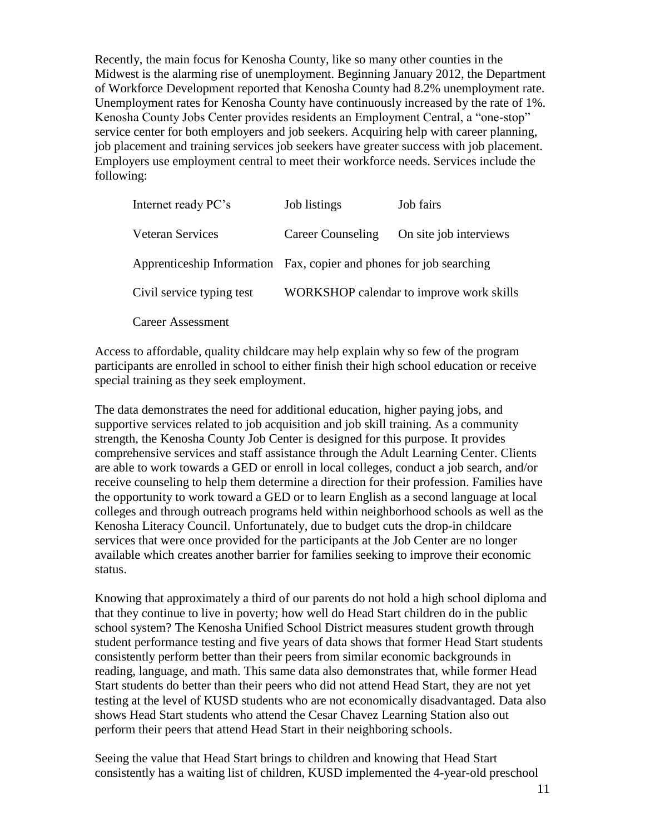Recently, the main focus for Kenosha County, like so many other counties in the Midwest is the alarming rise of unemployment. Beginning January 2012, the Department of Workforce Development reported that Kenosha County had 8.2% unemployment rate. Unemployment rates for Kenosha County have continuously increased by the rate of 1%. Kenosha County Jobs Center provides residents an Employment Central, a "one-stop" service center for both employers and job seekers. Acquiring help with career planning, job placement and training services job seekers have greater success with job placement. Employers use employment central to meet their workforce needs. Services include the following:

| Internet ready PC's                                                 | Job listings             | Job fairs                                |
|---------------------------------------------------------------------|--------------------------|------------------------------------------|
| <b>Veteran Services</b>                                             | <b>Career Counseling</b> | On site job interviews                   |
| Apprenticeship Information Fax, copier and phones for job searching |                          |                                          |
| Civil service typing test                                           |                          | WORKSHOP calendar to improve work skills |
| <b>Career Assessment</b>                                            |                          |                                          |

Access to affordable, quality childcare may help explain why so few of the program participants are enrolled in school to either finish their high school education or receive special training as they seek employment.

The data demonstrates the need for additional education, higher paying jobs, and supportive services related to job acquisition and job skill training. As a community strength, the Kenosha County Job Center is designed for this purpose. It provides comprehensive services and staff assistance through the Adult Learning Center. Clients are able to work towards a GED or enroll in local colleges, conduct a job search, and/or receive counseling to help them determine a direction for their profession. Families have the opportunity to work toward a GED or to learn English as a second language at local colleges and through outreach programs held within neighborhood schools as well as the Kenosha Literacy Council. Unfortunately, due to budget cuts the drop-in childcare services that were once provided for the participants at the Job Center are no longer available which creates another barrier for families seeking to improve their economic status.

Knowing that approximately a third of our parents do not hold a high school diploma and that they continue to live in poverty; how well do Head Start children do in the public school system? The Kenosha Unified School District measures student growth through student performance testing and five years of data shows that former Head Start students consistently perform better than their peers from similar economic backgrounds in reading, language, and math. This same data also demonstrates that, while former Head Start students do better than their peers who did not attend Head Start, they are not yet testing at the level of KUSD students who are not economically disadvantaged. Data also shows Head Start students who attend the Cesar Chavez Learning Station also out perform their peers that attend Head Start in their neighboring schools.

Seeing the value that Head Start brings to children and knowing that Head Start consistently has a waiting list of children, KUSD implemented the 4-year-old preschool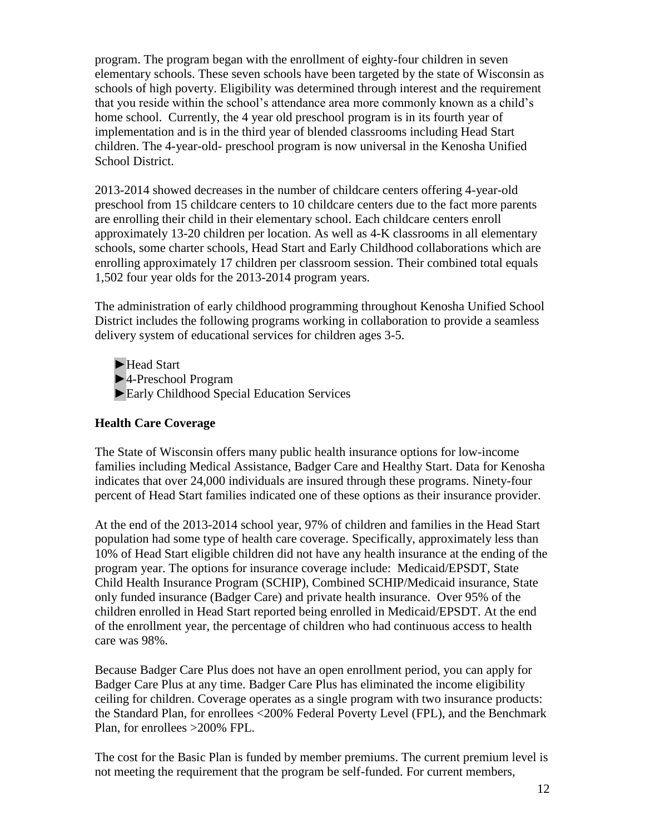program. The program began with the enrollment of eighty-four children in seven elementary schools. These seven schools have been targeted by the state of Wisconsin as schools of high poverty. Eligibility was determined through interest and the requirement that you reside within the school's attendance area more commonly known as a child's home school. Currently, the 4 year old preschool program is in its fourth year of implementation and is in the third year of blended classrooms including Head Start children. The 4-year-old- preschool program is now universal in the Kenosha Unified School District.

2013-2014 showed decreases in the number of childcare centers offering 4-year-old preschool from 15 childcare centers to 10 childcare centers due to the fact more parents are enrolling their child in their elementary school. Each childcare centers enroll approximately 13-20 children per location. As well as 4-K classrooms in all elementary schools, some charter schools, Head Start and Early Childhood collaborations which are enrolling approximately 17 children per classroom session. Their combined total equals 1,502 four year olds for the 2013-2014 program years.

The administration of early childhood programming throughout Kenosha Unified School District includes the following programs working in collaboration to provide a seamless delivery system of educational services for children ages 3-5.

► Head Start ►4-Preschool Program ►Early Childhood Special Education Services

#### **Health Care Coverage**

The State of Wisconsin offers many public health insurance options for low-income families including Medical Assistance, Badger Care and Healthy Start. Data for Kenosha indicates that over 24,000 individuals are insured through these programs. Ninety-four percent of Head Start families indicated one of these options as their insurance provider.

At the end of the 2013-2014 school year, 97% of children and families in the Head Start population had some type of health care coverage. Specifically, approximately less than 10% of Head Start eligible children did not have any health insurance at the ending of the program year. The options for insurance coverage include: Medicaid/EPSDT, State Child Health Insurance Program (SCHIP), Combined SCHIP/Medicaid insurance, State only funded insurance (Badger Care) and private health insurance. Over 95% of the children enrolled in Head Start reported being enrolled in Medicaid/EPSDT. At the end of the enrollment year, the percentage of children who had continuous access to health care was 98%.

Because Badger Care Plus does not have an open enrollment period, you can apply for Badger Care Plus at any time. Badger Care Plus has eliminated the income eligibility ceiling for children. Coverage operates as a single program with two insurance products: the Standard Plan, for enrollees <200% Federal Poverty Level (FPL), and the Benchmark Plan, for enrollees >200% FPL.

The cost for the Basic Plan is funded by member premiums. The current premium level is not meeting the requirement that the program be self-funded. For current members,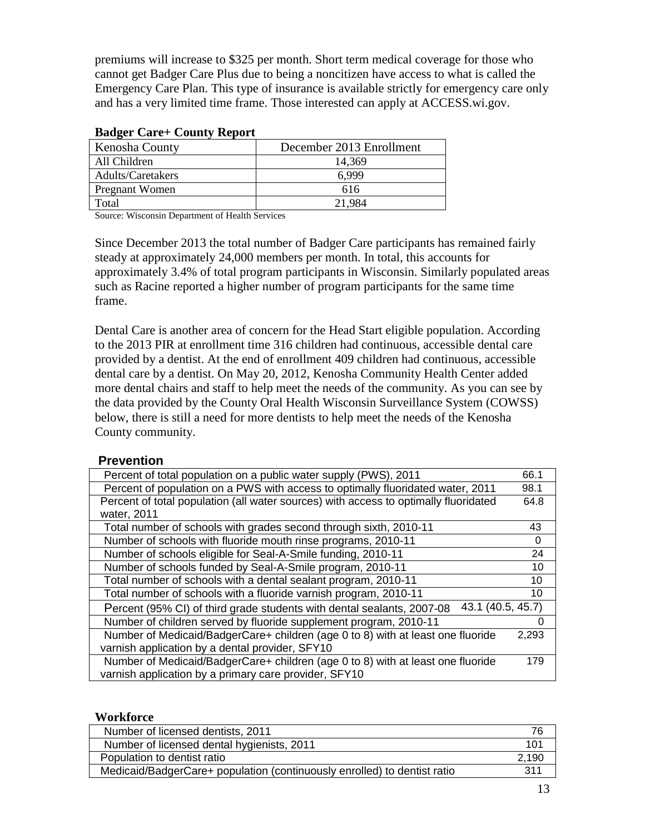premiums will increase to \$325 per month. Short term medical coverage for those who cannot get Badger Care Plus due to being a noncitizen have access to what is called the Emergency Care Plan. This type of insurance is available strictly for emergency care only and has a very limited time frame. Those interested can apply at ACCESS.wi.gov.

| Kenosha County    | December 2013 Enrollment |
|-------------------|--------------------------|
| All Children      | 14.369                   |
| Adults/Caretakers | 6.999                    |
| Pregnant Women    | 616                      |
| `otal             | 21.984                   |

#### **Badger Care+ County Report**

Source: Wisconsin Department of Health Services

Since December 2013 the total number of Badger Care participants has remained fairly steady at approximately 24,000 members per month. In total, this accounts for approximately 3.4% of total program participants in Wisconsin. Similarly populated areas such as Racine reported a higher number of program participants for the same time frame.

Dental Care is another area of concern for the Head Start eligible population. According to the 2013 PIR at enrollment time 316 children had continuous, accessible dental care provided by a dentist. At the end of enrollment 409 children had continuous, accessible dental care by a dentist. On May 20, 2012, Kenosha Community Health Center added more dental chairs and staff to help meet the needs of the community. As you can see by the data provided by the County Oral Health Wisconsin Surveillance System (COWSS) below, there is still a need for more dentists to help meet the needs of the Kenosha County community.

#### **Prevention**

| Percent of total population on a public water supply (PWS), 2011                            | 66.1     |
|---------------------------------------------------------------------------------------------|----------|
| Percent of population on a PWS with access to optimally fluoridated water, 2011             | 98.1     |
| Percent of total population (all water sources) with access to optimally fluoridated        | 64.8     |
| water, 2011                                                                                 |          |
| Total number of schools with grades second through sixth, 2010-11                           | 43       |
| Number of schools with fluoride mouth rinse programs, 2010-11                               | $\Omega$ |
| Number of schools eligible for Seal-A-Smile funding, 2010-11                                | 24       |
| Number of schools funded by Seal-A-Smile program, 2010-11                                   | 10       |
| Total number of schools with a dental sealant program, 2010-11                              | 10       |
| Total number of schools with a fluoride varnish program, 2010-11                            | 10       |
| 43.1 (40.5, 45.7)<br>Percent (95% CI) of third grade students with dental sealants, 2007-08 |          |
| Number of children served by fluoride supplement program, 2010-11                           | 0        |
| Number of Medicaid/BadgerCare+ children (age 0 to 8) with at least one fluoride             | 2,293    |
| varnish application by a dental provider, SFY10                                             |          |
| Number of Medicaid/BadgerCare+ children (age 0 to 8) with at least one fluoride             | 179      |
| varnish application by a primary care provider, SFY10                                       |          |

#### **Workforce**

| Number of licensed dentists, 2011                                        |       |
|--------------------------------------------------------------------------|-------|
| Number of licensed dental hygienists, 2011                               |       |
| Population to dentist ratio                                              | 2.190 |
| Medicaid/BadgerCare+ population (continuously enrolled) to dentist ratio | 31    |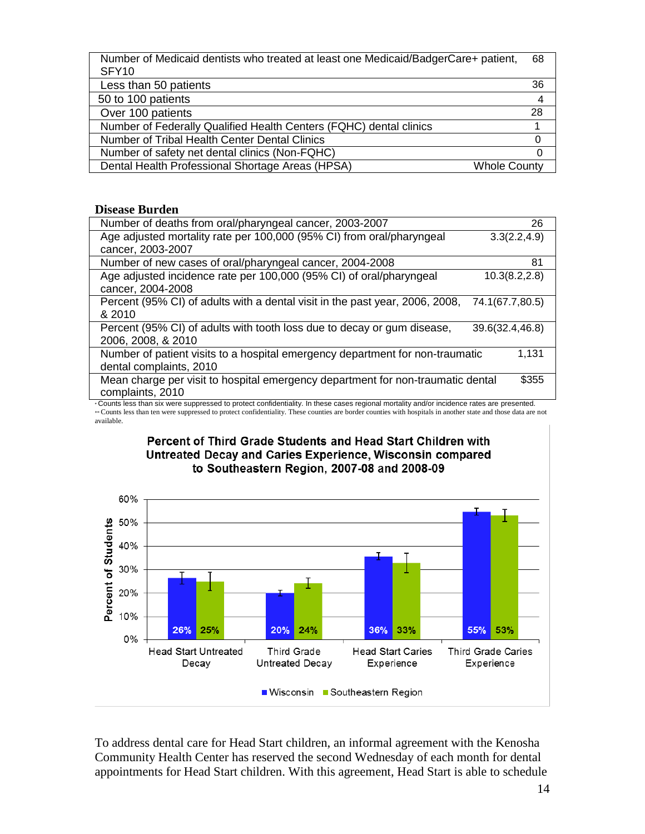| Number of Medicaid dentists who treated at least one Medicaid/BadgerCare+ patient, | 68 |
|------------------------------------------------------------------------------------|----|
| SFY10                                                                              |    |
| Less than 50 patients                                                              | 36 |
| 50 to 100 patients                                                                 |    |
|                                                                                    |    |

| Over 100 patients                                                  | 28.                 |
|--------------------------------------------------------------------|---------------------|
| Number of Federally Qualified Health Centers (FQHC) dental clinics |                     |
| Number of Tribal Health Center Dental Clinics                      |                     |
| Number of safety net dental clinics (Non-FQHC)                     |                     |
| Dental Health Professional Shortage Areas (HPSA)                   | <b>Whole County</b> |

#### **Disease Burden**

| Number of deaths from oral/pharyngeal cancer, 2003-2007                                                                                   | 26              |
|-------------------------------------------------------------------------------------------------------------------------------------------|-----------------|
| Age adjusted mortality rate per 100,000 (95% CI) from oral/pharyngeal                                                                     | 3.3(2.2, 4.9)   |
| cancer, 2003-2007                                                                                                                         |                 |
| Number of new cases of oral/pharyngeal cancer, 2004-2008                                                                                  | 81              |
| Age adjusted incidence rate per 100,000 (95% CI) of oral/pharyngeal                                                                       | 10.3(8.2, 2.8)  |
| cancer, 2004-2008                                                                                                                         |                 |
| Percent (95% CI) of adults with a dental visit in the past year, 2006, 2008,                                                              | 74.1(67.7,80.5) |
| & 2010                                                                                                                                    |                 |
| Percent (95% CI) of adults with tooth loss due to decay or gum disease,                                                                   | 39.6(32.4,46.8) |
| 2006, 2008, & 2010                                                                                                                        |                 |
| Number of patient visits to a hospital emergency department for non-traumatic                                                             | 1.131           |
| dental complaints, 2010                                                                                                                   |                 |
| Mean charge per visit to hospital emergency department for non-traumatic dental                                                           | \$355           |
| complaints, 2010                                                                                                                          |                 |
| . Counte loga than aiv were suppressed to protect confidentiality, in these seese regional mertality and/or insidence rates are presented |                 |

Counts less than six were suppressed to protect confidentiality. In these cases regional mortality and/or incidence rates are presented.<br>\*\* Counts less than ten were suppressed to protect confidentiality. These counties ar available.



#### Percent of Third Grade Students and Head Start Children with Untreated Decay and Caries Experience, Wisconsin compared to Southeastern Region, 2007-08 and 2008-09

To address dental care for Head Start children, an informal agreement with the Kenosha Community Health Center has reserved the second Wednesday of each month for dental appointments for Head Start children. With this agreement, Head Start is able to schedule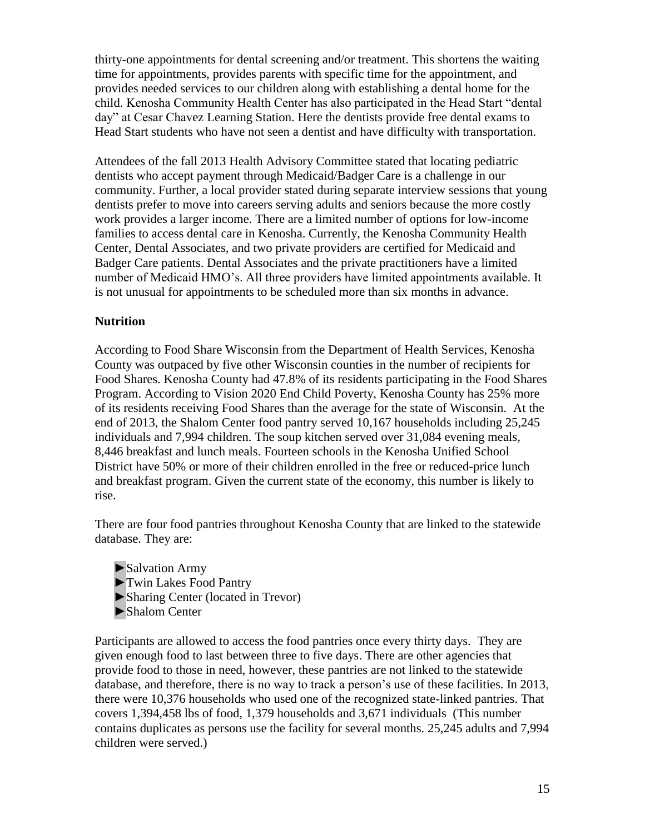thirty-one appointments for dental screening and/or treatment. This shortens the waiting time for appointments, provides parents with specific time for the appointment, and provides needed services to our children along with establishing a dental home for the child. Kenosha Community Health Center has also participated in the Head Start "dental day" at Cesar Chavez Learning Station. Here the dentists provide free dental exams to Head Start students who have not seen a dentist and have difficulty with transportation.

Attendees of the fall 2013 Health Advisory Committee stated that locating pediatric dentists who accept payment through Medicaid/Badger Care is a challenge in our community. Further, a local provider stated during separate interview sessions that young dentists prefer to move into careers serving adults and seniors because the more costly work provides a larger income. There are a limited number of options for low-income families to access dental care in Kenosha. Currently, the Kenosha Community Health Center, Dental Associates, and two private providers are certified for Medicaid and Badger Care patients. Dental Associates and the private practitioners have a limited number of Medicaid HMO's. All three providers have limited appointments available. It is not unusual for appointments to be scheduled more than six months in advance.

#### **Nutrition**

According to Food Share Wisconsin from the Department of Health Services, Kenosha County was outpaced by five other Wisconsin counties in the number of recipients for Food Shares. Kenosha County had 47.8% of its residents participating in the Food Shares Program. According to Vision 2020 End Child Poverty, Kenosha County has 25% more of its residents receiving Food Shares than the average for the state of Wisconsin. At the end of 2013, the Shalom Center food pantry served 10,167 households including 25,245 individuals and 7,994 children. The soup kitchen served over 31,084 evening meals, 8,446 breakfast and lunch meals. Fourteen schools in the Kenosha Unified School District have 50% or more of their children enrolled in the free or reduced-price lunch and breakfast program. Given the current state of the economy, this number is likely to rise.

There are four food pantries throughout Kenosha County that are linked to the statewide database. They are:

►Salvation Army ►Twin Lakes Food Pantry ►Sharing Center (located in Trevor) ►Shalom Center

Participants are allowed to access the food pantries once every thirty days. They are given enough food to last between three to five days. There are other agencies that provide food to those in need, however, these pantries are not linked to the statewide database, and therefore, there is no way to track a person's use of these facilities. In 2013, there were 10,376 households who used one of the recognized state-linked pantries. That covers 1,394,458 lbs of food, 1,379 households and 3,671 individuals (This number contains duplicates as persons use the facility for several months. 25,245 adults and 7,994 children were served.)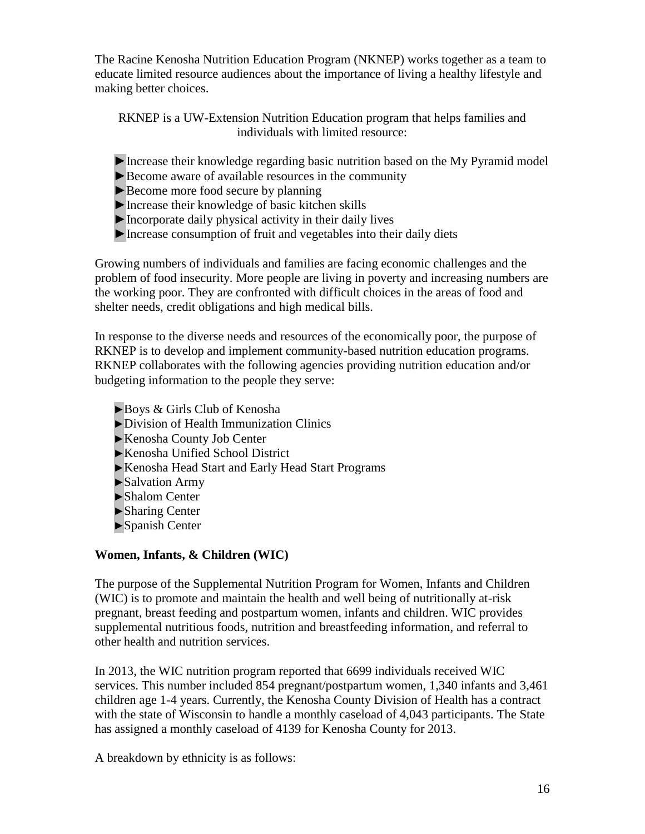The Racine Kenosha Nutrition Education Program (NKNEP) works together as a team to educate limited resource audiences about the importance of living a healthy lifestyle and making better choices.

RKNEP is a UW-Extension Nutrition Education program that helps families and individuals with limited resource:

- ►Increase their knowledge regarding basic nutrition based on the My Pyramid model
- ►Become aware of available resources in the community
- ► Become more food secure by planning
- ►Increase their knowledge of basic kitchen skills
- ►Incorporate daily physical activity in their daily lives
- ►Increase consumption of fruit and vegetables into their daily diets

Growing numbers of individuals and families are facing economic challenges and the problem of food insecurity. More people are living in poverty and increasing numbers are the working poor. They are confronted with difficult choices in the areas of food and shelter needs, credit obligations and high medical bills.

In response to the diverse needs and resources of the economically poor, the purpose of RKNEP is to develop and implement community-based nutrition education programs. RKNEP collaborates with the following agencies providing nutrition education and/or budgeting information to the people they serve:

- ►Boys & Girls Club of Kenosha
- ►Division of Health Immunization Clinics
- ►Kenosha County Job Center
- ►Kenosha Unified School District
- ►Kenosha Head Start and Early Head Start Programs
- ►Salvation Army
- ►Shalom Center
- ►Sharing Center
- ►Spanish Center

#### **Women, Infants, & Children (WIC)**

The purpose of the Supplemental Nutrition Program for Women, Infants and Children (WIC) is to promote and maintain the health and well being of nutritionally at-risk pregnant, breast feeding and postpartum women, infants and children. WIC provides supplemental nutritious foods, nutrition and breastfeeding information, and referral to other health and nutrition services.

In 2013, the WIC nutrition program reported that 6699 individuals received WIC services. This number included 854 pregnant/postpartum women, 1,340 infants and 3,461 children age 1-4 years. Currently, the Kenosha County Division of Health has a contract with the state of Wisconsin to handle a monthly caseload of 4,043 participants. The State has assigned a monthly caseload of 4139 for Kenosha County for 2013.

A breakdown by ethnicity is as follows: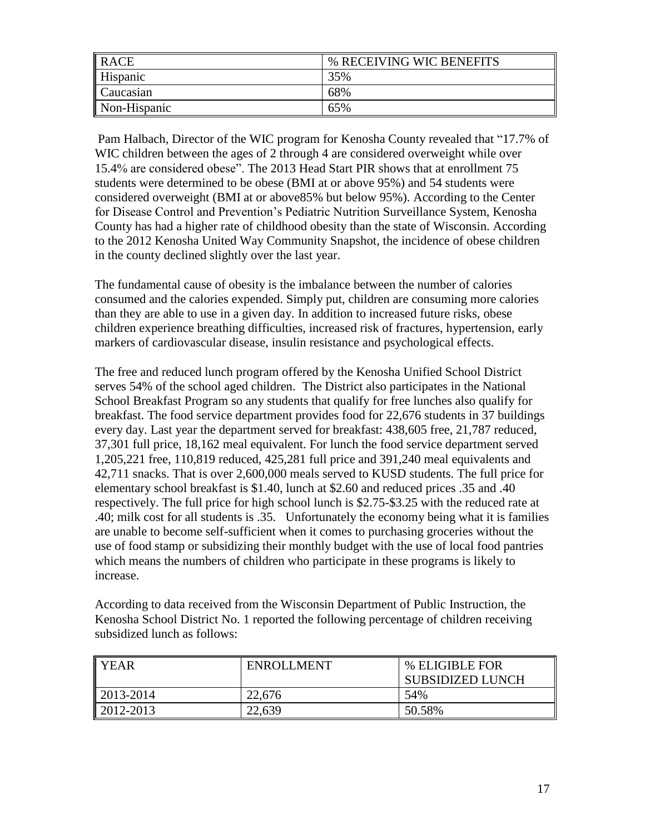| RACE         | % RECEIVING WIC BENEFITS |
|--------------|--------------------------|
| Hispanic     | 35%                      |
| Caucasian    | 68%                      |
| Non-Hispanic | 65%                      |

Pam Halbach, Director of the WIC program for Kenosha County revealed that "17.7% of WIC children between the ages of 2 through 4 are considered overweight while over 15.4% are considered obese". The 2013 Head Start PIR shows that at enrollment 75 students were determined to be obese (BMI at or above 95%) and 54 students were considered overweight (BMI at or above85% but below 95%). According to the Center for Disease Control and Prevention's Pediatric Nutrition Surveillance System, Kenosha County has had a higher rate of childhood obesity than the state of Wisconsin. According to the 2012 Kenosha United Way Community Snapshot, the incidence of obese children in the county declined slightly over the last year.

The fundamental cause of obesity is the imbalance between the number of calories consumed and the calories expended. Simply put, children are consuming more calories than they are able to use in a given day. In addition to increased future risks, obese children experience breathing difficulties, increased risk of fractures, hypertension, early markers of cardiovascular disease, insulin resistance and psychological effects.

The free and reduced lunch program offered by the Kenosha Unified School District serves 54% of the school aged children. The District also participates in the National School Breakfast Program so any students that qualify for free lunches also qualify for breakfast. The food service department provides food for 22,676 students in 37 buildings every day. Last year the department served for breakfast: 438,605 free, 21,787 reduced, 37,301 full price, 18,162 meal equivalent. For lunch the food service department served 1,205,221 free, 110,819 reduced, 425,281 full price and 391,240 meal equivalents and 42,711 snacks. That is over 2,600,000 meals served to KUSD students. The full price for elementary school breakfast is \$1.40, lunch at \$2.60 and reduced prices .35 and .40 respectively. The full price for high school lunch is \$2.75-\$3.25 with the reduced rate at .40; milk cost for all students is .35. Unfortunately the economy being what it is families are unable to become self-sufficient when it comes to purchasing groceries without the use of food stamp or subsidizing their monthly budget with the use of local food pantries which means the numbers of children who participate in these programs is likely to increase.

According to data received from the Wisconsin Department of Public Instruction, the Kenosha School District No. 1 reported the following percentage of children receiving subsidized lunch as follows:

| I YEAR                | <b>ENROLLMENT</b> | % ELIGIBLE FOR<br><b>SUBSIDIZED LUNCH</b> |
|-----------------------|-------------------|-------------------------------------------|
| $\parallel$ 2013-2014 | 22,676            | 54%                                       |
| $\parallel$ 2012-2013 | 22,639            | 50.58%                                    |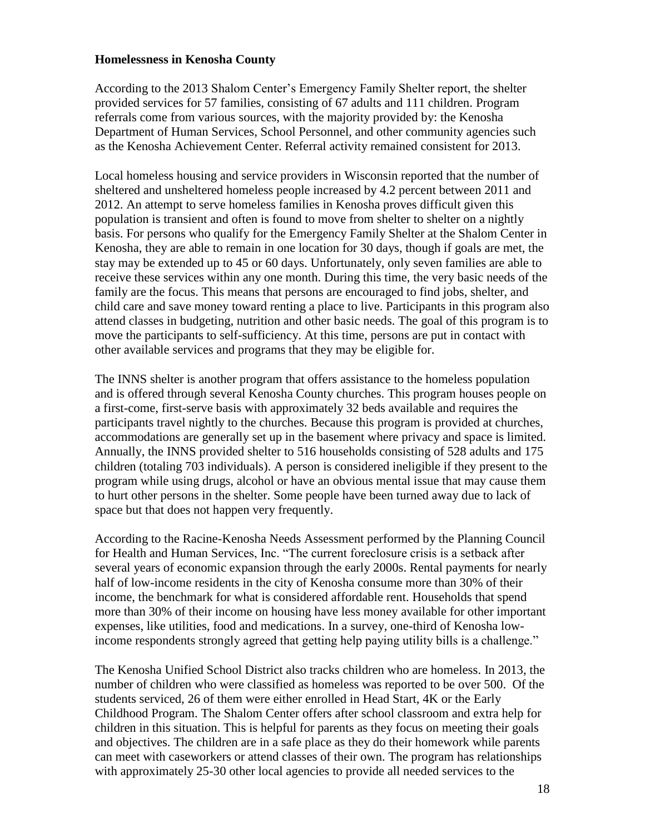#### **Homelessness in Kenosha County**

According to the 2013 Shalom Center's Emergency Family Shelter report, the shelter provided services for 57 families, consisting of 67 adults and 111 children. Program referrals come from various sources, with the majority provided by: the Kenosha Department of Human Services, School Personnel, and other community agencies such as the Kenosha Achievement Center. Referral activity remained consistent for 2013.

Local homeless housing and service providers in Wisconsin reported that the number of sheltered and unsheltered homeless people increased by 4.2 percent between 2011 and 2012. An attempt to serve homeless families in Kenosha proves difficult given this population is transient and often is found to move from shelter to shelter on a nightly basis. For persons who qualify for the Emergency Family Shelter at the Shalom Center in Kenosha, they are able to remain in one location for 30 days, though if goals are met, the stay may be extended up to 45 or 60 days. Unfortunately, only seven families are able to receive these services within any one month. During this time, the very basic needs of the family are the focus. This means that persons are encouraged to find jobs, shelter, and child care and save money toward renting a place to live. Participants in this program also attend classes in budgeting, nutrition and other basic needs. The goal of this program is to move the participants to self-sufficiency. At this time, persons are put in contact with other available services and programs that they may be eligible for.

The INNS shelter is another program that offers assistance to the homeless population and is offered through several Kenosha County churches. This program houses people on a first-come, first-serve basis with approximately 32 beds available and requires the participants travel nightly to the churches. Because this program is provided at churches, accommodations are generally set up in the basement where privacy and space is limited. Annually, the INNS provided shelter to 516 households consisting of 528 adults and 175 children (totaling 703 individuals). A person is considered ineligible if they present to the program while using drugs, alcohol or have an obvious mental issue that may cause them to hurt other persons in the shelter. Some people have been turned away due to lack of space but that does not happen very frequently.

According to the Racine-Kenosha Needs Assessment performed by the Planning Council for Health and Human Services, Inc. "The current foreclosure crisis is a setback after several years of economic expansion through the early 2000s. Rental payments for nearly half of low-income residents in the city of Kenosha consume more than 30% of their income, the benchmark for what is considered affordable rent. Households that spend more than 30% of their income on housing have less money available for other important expenses, like utilities, food and medications. In a survey, one-third of Kenosha lowincome respondents strongly agreed that getting help paying utility bills is a challenge."

The Kenosha Unified School District also tracks children who are homeless. In 2013, the number of children who were classified as homeless was reported to be over 500. Of the students serviced, 26 of them were either enrolled in Head Start, 4K or the Early Childhood Program. The Shalom Center offers after school classroom and extra help for children in this situation. This is helpful for parents as they focus on meeting their goals and objectives. The children are in a safe place as they do their homework while parents can meet with caseworkers or attend classes of their own. The program has relationships with approximately 25-30 other local agencies to provide all needed services to the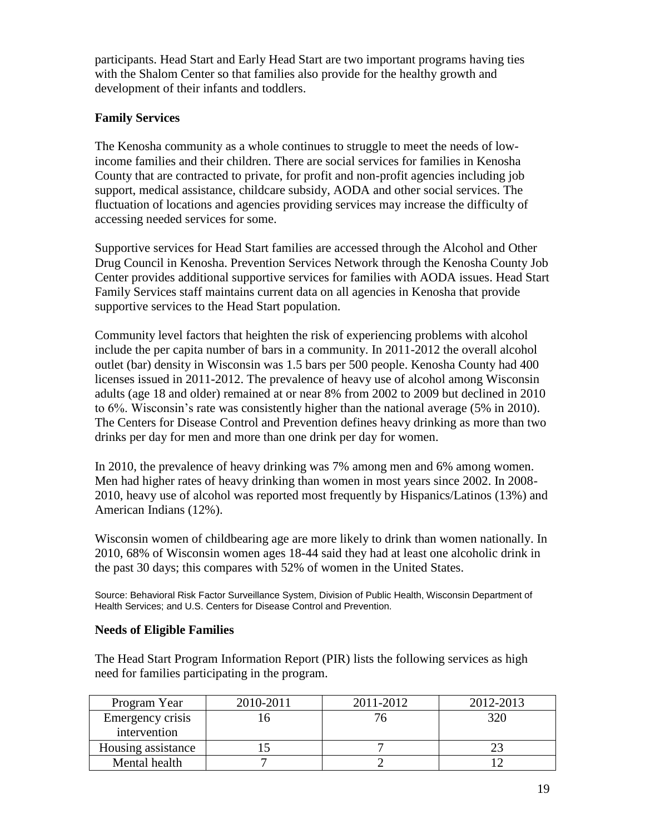participants. Head Start and Early Head Start are two important programs having ties with the Shalom Center so that families also provide for the healthy growth and development of their infants and toddlers.

#### **Family Services**

The Kenosha community as a whole continues to struggle to meet the needs of lowincome families and their children. There are social services for families in Kenosha County that are contracted to private, for profit and non-profit agencies including job support, medical assistance, childcare subsidy, AODA and other social services. The fluctuation of locations and agencies providing services may increase the difficulty of accessing needed services for some.

Supportive services for Head Start families are accessed through the Alcohol and Other Drug Council in Kenosha. Prevention Services Network through the Kenosha County Job Center provides additional supportive services for families with AODA issues. Head Start Family Services staff maintains current data on all agencies in Kenosha that provide supportive services to the Head Start population.

Community level factors that heighten the risk of experiencing problems with alcohol include the per capita number of bars in a community. In 2011-2012 the overall alcohol outlet (bar) density in Wisconsin was 1.5 bars per 500 people. Kenosha County had 400 licenses issued in 2011-2012. The prevalence of heavy use of alcohol among Wisconsin adults (age 18 and older) remained at or near 8% from 2002 to 2009 but declined in 2010 to 6%. Wisconsin's rate was consistently higher than the national average (5% in 2010). The Centers for Disease Control and Prevention defines heavy drinking as more than two drinks per day for men and more than one drink per day for women.

In 2010, the prevalence of heavy drinking was 7% among men and 6% among women. Men had higher rates of heavy drinking than women in most years since 2002. In 2008- 2010, heavy use of alcohol was reported most frequently by Hispanics/Latinos (13%) and American Indians (12%).

Wisconsin women of childbearing age are more likely to drink than women nationally. In 2010, 68% of Wisconsin women ages 18-44 said they had at least one alcoholic drink in the past 30 days; this compares with 52% of women in the United States.

Source: Behavioral Risk Factor Surveillance System, Division of Public Health, Wisconsin Department of Health Services; and U.S. Centers for Disease Control and Prevention.

#### **Needs of Eligible Families**

The Head Start Program Information Report (PIR) lists the following services as high need for families participating in the program.

| Program Year       | 2010-2011 | 2011-2012 | 2012-2013 |
|--------------------|-----------|-----------|-----------|
| Emergency crisis   |           |           | 320       |
| intervention       |           |           |           |
| Housing assistance |           |           |           |
| Mental health      |           |           |           |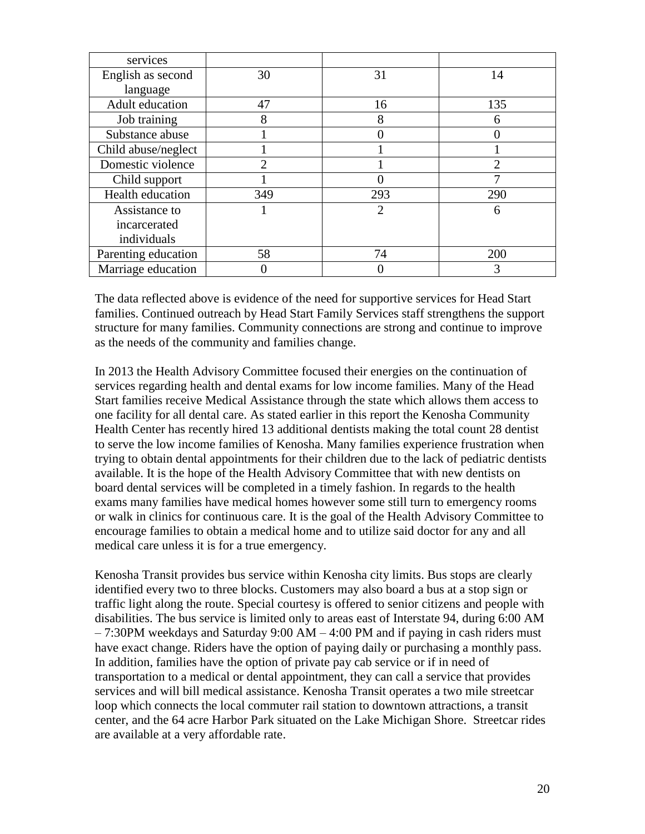| services            |                |                |     |
|---------------------|----------------|----------------|-----|
| English as second   | 30             | 31             | 14  |
| language            |                |                |     |
| Adult education     | 47             | 16             | 135 |
| Job training        | 8              | 8              | 6   |
| Substance abuse     |                |                |     |
| Child abuse/neglect |                |                |     |
| Domestic violence   | $\mathfrak{D}$ |                | 2   |
| Child support       |                |                |     |
| Health education    | 349            | 293            | 290 |
| Assistance to       |                | $\overline{2}$ | 6   |
| incarcerated        |                |                |     |
| individuals         |                |                |     |
| Parenting education | 58             | 74             | 200 |
| Marriage education  |                |                | 3   |

The data reflected above is evidence of the need for supportive services for Head Start families. Continued outreach by Head Start Family Services staff strengthens the support structure for many families. Community connections are strong and continue to improve as the needs of the community and families change.

In 2013 the Health Advisory Committee focused their energies on the continuation of services regarding health and dental exams for low income families. Many of the Head Start families receive Medical Assistance through the state which allows them access to one facility for all dental care. As stated earlier in this report the Kenosha Community Health Center has recently hired 13 additional dentists making the total count 28 dentist to serve the low income families of Kenosha. Many families experience frustration when trying to obtain dental appointments for their children due to the lack of pediatric dentists available. It is the hope of the Health Advisory Committee that with new dentists on board dental services will be completed in a timely fashion. In regards to the health exams many families have medical homes however some still turn to emergency rooms or walk in clinics for continuous care. It is the goal of the Health Advisory Committee to encourage families to obtain a medical home and to utilize said doctor for any and all medical care unless it is for a true emergency.

Kenosha Transit provides bus service within Kenosha city limits. Bus stops are clearly identified every two to three blocks. Customers may also board a bus at a stop sign or traffic light along the route. Special courtesy is offered to senior citizens and people with disabilities. The bus service is limited only to areas east of Interstate 94, during 6:00 AM  $-7:30$ PM weekdays and Saturday 9:00 AM  $-4:00$  PM and if paying in cash riders must have exact change. Riders have the option of paying daily or purchasing a monthly pass. In addition, families have the option of private pay cab service or if in need of transportation to a medical or dental appointment, they can call a service that provides services and will bill medical assistance. Kenosha Transit operates a two mile streetcar loop which connects the local commuter rail station to downtown attractions, a transit center, and the 64 acre Harbor Park situated on the Lake Michigan Shore. Streetcar rides are available at a very affordable rate.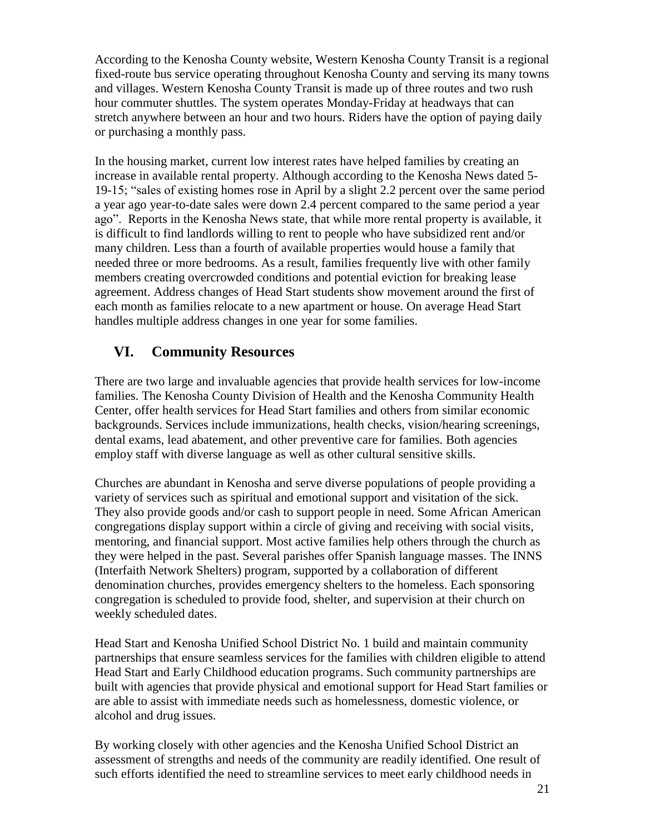According to the Kenosha County website, Western Kenosha County Transit is a regional fixed-route bus service operating throughout Kenosha County and serving its many towns and villages. Western Kenosha County Transit is made up of three routes and two rush hour commuter shuttles. The system operates Monday-Friday at headways that can stretch anywhere between an hour and two hours. Riders have the option of paying daily or purchasing a monthly pass.

In the housing market, current low interest rates have helped families by creating an increase in available rental property. Although according to the Kenosha News dated 5- 19-15; "sales of existing homes rose in April by a slight 2.2 percent over the same period a year ago year-to-date sales were down 2.4 percent compared to the same period a year ago". Reports in the Kenosha News state, that while more rental property is available, it is difficult to find landlords willing to rent to people who have subsidized rent and/or many children. Less than a fourth of available properties would house a family that needed three or more bedrooms. As a result, families frequently live with other family members creating overcrowded conditions and potential eviction for breaking lease agreement. Address changes of Head Start students show movement around the first of each month as families relocate to a new apartment or house. On average Head Start handles multiple address changes in one year for some families.

## **VI. Community Resources**

There are two large and invaluable agencies that provide health services for low-income families. The Kenosha County Division of Health and the Kenosha Community Health Center, offer health services for Head Start families and others from similar economic backgrounds. Services include immunizations, health checks, vision/hearing screenings, dental exams, lead abatement, and other preventive care for families. Both agencies employ staff with diverse language as well as other cultural sensitive skills.

Churches are abundant in Kenosha and serve diverse populations of people providing a variety of services such as spiritual and emotional support and visitation of the sick. They also provide goods and/or cash to support people in need. Some African American congregations display support within a circle of giving and receiving with social visits, mentoring, and financial support. Most active families help others through the church as they were helped in the past. Several parishes offer Spanish language masses. The INNS (Interfaith Network Shelters) program, supported by a collaboration of different denomination churches, provides emergency shelters to the homeless. Each sponsoring congregation is scheduled to provide food, shelter, and supervision at their church on weekly scheduled dates.

Head Start and Kenosha Unified School District No. 1 build and maintain community partnerships that ensure seamless services for the families with children eligible to attend Head Start and Early Childhood education programs. Such community partnerships are built with agencies that provide physical and emotional support for Head Start families or are able to assist with immediate needs such as homelessness, domestic violence, or alcohol and drug issues.

By working closely with other agencies and the Kenosha Unified School District an assessment of strengths and needs of the community are readily identified. One result of such efforts identified the need to streamline services to meet early childhood needs in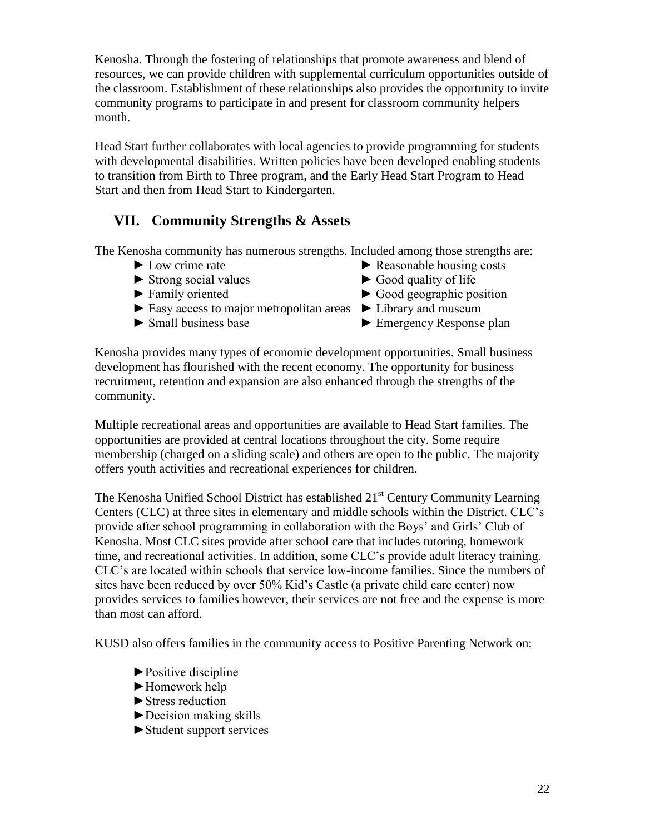Kenosha. Through the fostering of relationships that promote awareness and blend of resources, we can provide children with supplemental curriculum opportunities outside of the classroom. Establishment of these relationships also provides the opportunity to invite community programs to participate in and present for classroom community helpers month.

Head Start further collaborates with local agencies to provide programming for students with developmental disabilities. Written policies have been developed enabling students to transition from Birth to Three program, and the Early Head Start Program to Head Start and then from Head Start to Kindergarten.

## **VII. Community Strengths & Assets**

The Kenosha community has numerous strengths. Included among those strengths are:

- 
- ► Strong social values ► Good quality of life
- 
- ► Easy access to major metropolitan areas ► Library and museum
- 
- ► Low crime rate ► Reasonable housing costs
	-
- $\triangleright$  Family oriented  $\triangleright$  Good geographic position
	-
- ► Small business base ► Emergency Response plan

Kenosha provides many types of economic development opportunities. Small business development has flourished with the recent economy. The opportunity for business recruitment, retention and expansion are also enhanced through the strengths of the community.

Multiple recreational areas and opportunities are available to Head Start families. The opportunities are provided at central locations throughout the city. Some require membership (charged on a sliding scale) and others are open to the public. The majority offers youth activities and recreational experiences for children.

The Kenosha Unified School District has established 21<sup>st</sup> Century Community Learning Centers (CLC) at three sites in elementary and middle schools within the District. CLC's provide after school programming in collaboration with the Boys' and Girls' Club of Kenosha. Most CLC sites provide after school care that includes tutoring, homework time, and recreational activities. In addition, some CLC's provide adult literacy training. CLC's are located within schools that service low-income families. Since the numbers of sites have been reduced by over 50% Kid's Castle (a private child care center) now provides services to families however, their services are not free and the expense is more than most can afford.

KUSD also offers families in the community access to Positive Parenting Network on:

- ►Positive discipline
- ►Homework help
- ►Stress reduction
- $\blacktriangleright$  Decision making skills
- ►Student support services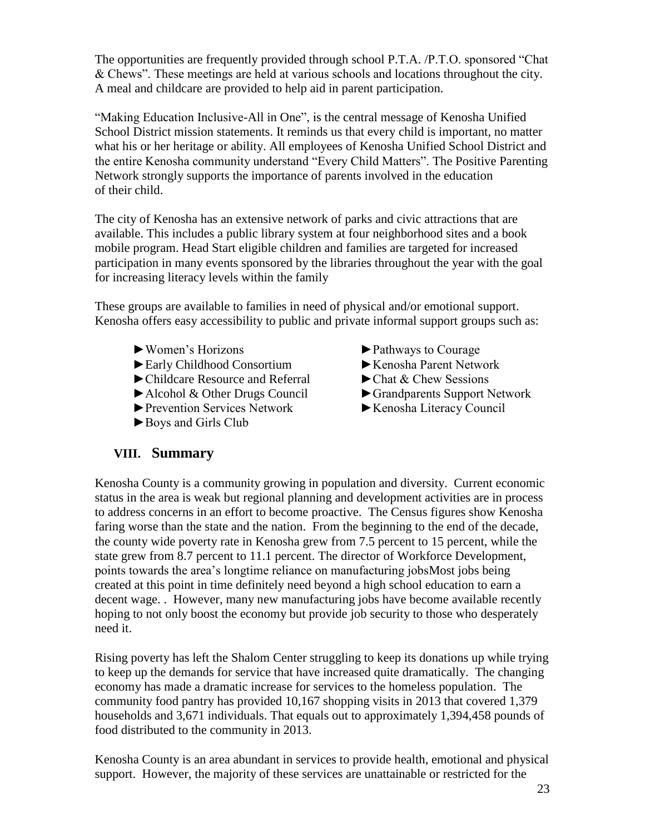The opportunities are frequently provided through school P.T.A. /P.T.O. sponsored "Chat & Chews". These meetings are held at various schools and locations throughout the city. A meal and childcare are provided to help aid in parent participation.

"Making Education Inclusive-All in One", is the central message of Kenosha Unified School District mission statements. It reminds us that every child is important, no matter what his or her heritage or ability. All employees of Kenosha Unified School District and the entire Kenosha community understand "Every Child Matters". The Positive Parenting Network strongly supports the importance of parents involved in the education of their child.

The city of Kenosha has an extensive network of parks and civic attractions that are available. This includes a public library system at four neighborhood sites and a book mobile program. Head Start eligible children and families are targeted for increased participation in many events sponsored by the libraries throughout the year with the goal for increasing literacy levels within the family

These groups are available to families in need of physical and/or emotional support. Kenosha offers easy accessibility to public and private informal support groups such as:

- 
- ►Early Childhood Consortium ►Kenosha Parent Network
- ► Childcare Resource and Referral ► Chat & Chew Sessions
- ► Alcohol & Other Drugs Council ► Grandparents Support Network
- ►Prevention Services Network ►Kenosha Literacy Council
- ►Boys and Girls Club
- ► Women's Horizons ► Pathways to Courage
	-
	-
	-
	-

#### **VIII. Summary**

Kenosha County is a community growing in population and diversity. Current economic status in the area is weak but regional planning and development activities are in process to address concerns in an effort to become proactive. The Census figures show Kenosha faring worse than the state and the nation. From the beginning to the end of the decade, the county wide poverty rate in Kenosha grew from 7.5 percent to 15 percent, while the state grew from 8.7 percent to 11.1 percent. The director of Workforce Development, points towards the area's longtime reliance on manufacturing jobsMost jobs being created at this point in time definitely need beyond a high school education to earn a decent wage. . However, many new manufacturing jobs have become available recently hoping to not only boost the economy but provide job security to those who desperately need it.

Rising poverty has left the Shalom Center struggling to keep its donations up while trying to keep up the demands for service that have increased quite dramatically. The changing economy has made a dramatic increase for services to the homeless population. The community food pantry has provided 10,167 shopping visits in 2013 that covered 1,379 households and 3,671 individuals. That equals out to approximately 1,394,458 pounds of food distributed to the community in 2013.

Kenosha County is an area abundant in services to provide health, emotional and physical support. However, the majority of these services are unattainable or restricted for the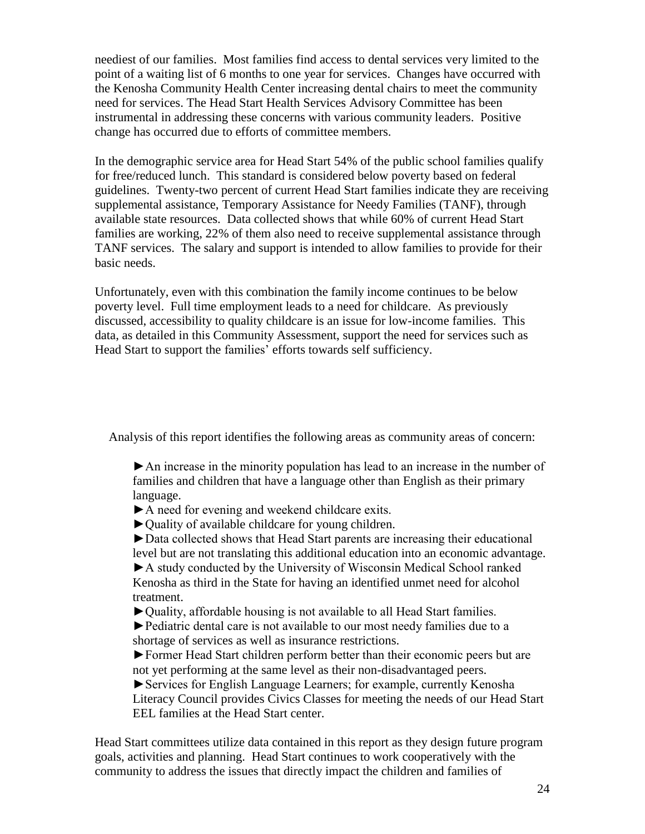neediest of our families. Most families find access to dental services very limited to the point of a waiting list of 6 months to one year for services. Changes have occurred with the Kenosha Community Health Center increasing dental chairs to meet the community need for services. The Head Start Health Services Advisory Committee has been instrumental in addressing these concerns with various community leaders. Positive change has occurred due to efforts of committee members.

In the demographic service area for Head Start 54% of the public school families qualify for free/reduced lunch. This standard is considered below poverty based on federal guidelines. Twenty-two percent of current Head Start families indicate they are receiving supplemental assistance, Temporary Assistance for Needy Families (TANF), through available state resources. Data collected shows that while 60% of current Head Start families are working, 22% of them also need to receive supplemental assistance through TANF services. The salary and support is intended to allow families to provide for their basic needs.

Unfortunately, even with this combination the family income continues to be below poverty level. Full time employment leads to a need for childcare. As previously discussed, accessibility to quality childcare is an issue for low-income families. This data, as detailed in this Community Assessment, support the need for services such as Head Start to support the families' efforts towards self sufficiency.

Analysis of this report identifies the following areas as community areas of concern:

►An increase in the minority population has lead to an increase in the number of families and children that have a language other than English as their primary language.

- ►A need for evening and weekend childcare exits.
- ►Quality of available childcare for young children.

►Data collected shows that Head Start parents are increasing their educational level but are not translating this additional education into an economic advantage.

►A study conducted by the University of Wisconsin Medical School ranked Kenosha as third in the State for having an identified unmet need for alcohol treatment.

►Quality, affordable housing is not available to all Head Start families.

►Pediatric dental care is not available to our most needy families due to a shortage of services as well as insurance restrictions.

►Former Head Start children perform better than their economic peers but are not yet performing at the same level as their non-disadvantaged peers.

►Services for English Language Learners; for example, currently Kenosha Literacy Council provides Civics Classes for meeting the needs of our Head Start EEL families at the Head Start center.

Head Start committees utilize data contained in this report as they design future program goals, activities and planning. Head Start continues to work cooperatively with the community to address the issues that directly impact the children and families of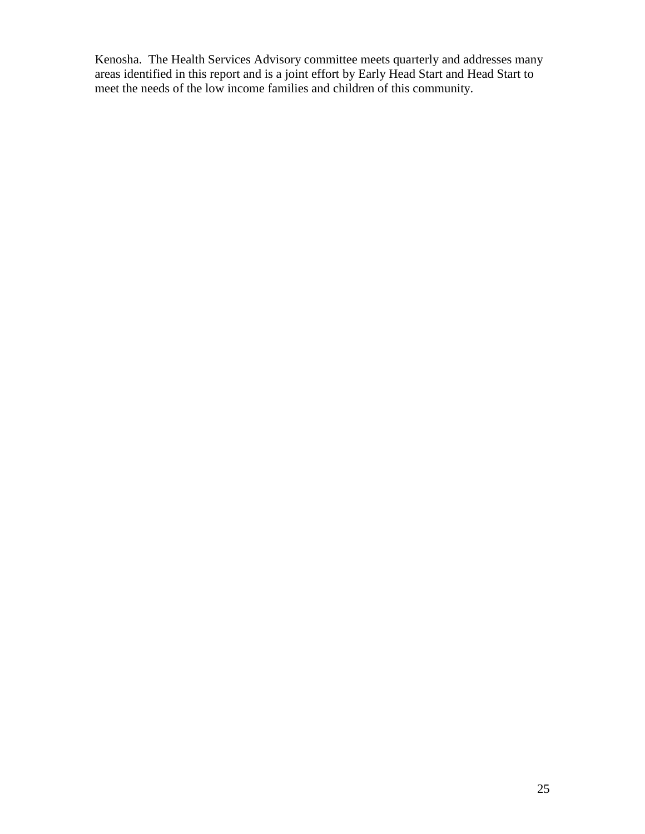Kenosha. The Health Services Advisory committee meets quarterly and addresses many areas identified in this report and is a joint effort by Early Head Start and Head Start to meet the needs of the low income families and children of this community.